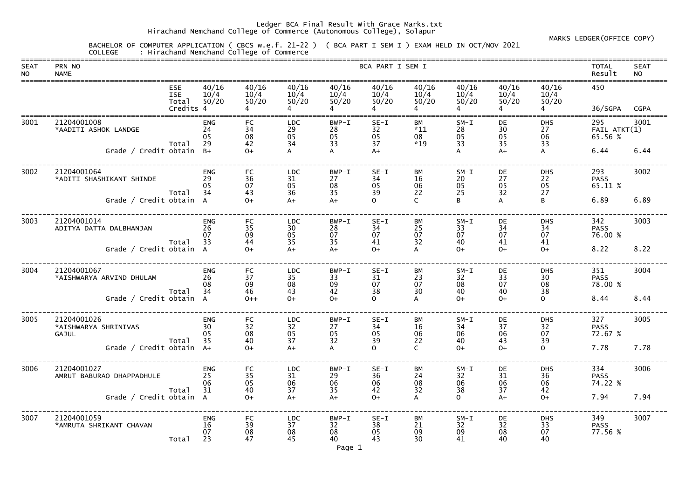## Ledger BCA Final Result With Grace Marks.txt Hirachand Nemchand College of Commerce (Autonomous College), Solapur

## MARKS LEDGER(OFFICE COPY)

 BACHELOR OF COMPUTER APPLICATION ( CBCS w.e.f. 21-22 ) ( BCA PART I SEM I ) EXAM HELD IN OCT/NOV 2021 COLLEGE : Hirachand Nemchand College of Commerce

| <b>SEAT</b><br><b>NO</b> | PRN NO<br><b>NAME</b>                        |                                   |                              |                             |                              |                           | BCA PART I SEM I         |                                   |                          |                        |                              | <b>TOTAL</b><br>Result         | <b>SEAT</b><br><b>NO</b> |
|--------------------------|----------------------------------------------|-----------------------------------|------------------------------|-----------------------------|------------------------------|---------------------------|--------------------------|-----------------------------------|--------------------------|------------------------|------------------------------|--------------------------------|--------------------------|
|                          |                                              | <b>ESE</b><br><b>ISE</b><br>Total | 40/16<br>10/4<br>50/20       | 40/16<br>10/4<br>50/20      | 40/16<br>10/4<br>50/20       | 40/16<br>10/4<br>50/20    | 40/16<br>10/4<br>50/20   | 40/16<br>10/4<br>50/20            | 40/16<br>10/4<br>50/20   | 40/16<br>10/4<br>50/20 | 40/16<br>10/4<br>50/20       | 450                            |                          |
|                          |                                              | Credits 4                         |                              |                             |                              |                           |                          |                                   |                          |                        |                              | 36/SGPA                        | <b>CGPA</b>              |
| 3001                     | 21204001008<br>*AADITI ASHOK LANDGE          | Total                             | <b>ENG</b><br>24<br>05<br>29 | FC<br>34<br>08<br>42        | <b>LDC</b><br>29<br>05<br>34 | $BWP-I$<br>28<br>05<br>33 | $SE-I$<br>32<br>05<br>37 | <b>BM</b><br>$*11$<br>08<br>$*19$ | $SM-I$<br>28<br>05<br>33 | DE<br>30<br>05<br>35   | <b>DHS</b><br>27<br>06<br>33 | 295<br>FAIL ATKT(1)<br>65.56 % | 3001                     |
|                          | Grade / Credit obtain                        |                                   | $B+$                         | $O+$                        |                              |                           | $A+$                     |                                   |                          | A+                     |                              | 6.44                           | 6.44                     |
| 3002                     | 21204001064<br>*ADITI SHASHIKANT SHINDE      | Total                             | <b>ENG</b><br>29<br>05<br>34 | <b>FC</b><br>36<br>07<br>43 | <b>LDC</b><br>31<br>05<br>36 | $BWP-T$<br>27<br>08<br>35 | $SE-I$<br>34<br>05<br>39 | <b>BM</b><br>16<br>06<br>22       | $SM-I$<br>20<br>05<br>25 | DE<br>27<br>05<br>32   | <b>DHS</b><br>22<br>05<br>27 | 293<br><b>PASS</b><br>65.11 %  | 3002                     |
|                          | Grade / Credit obtain A                      |                                   |                              | $O+$                        | $A+$                         | $A+$                      | $\Omega$                 | $\mathsf{C}$                      |                          |                        | B                            | 6.89                           | 6.89                     |
| 3003                     | 21204001014<br>ADITYA DATTA DALBHANJAN       | Total                             | <b>ENG</b><br>26<br>07<br>33 | <b>FC</b><br>35<br>09<br>44 | <b>LDC</b><br>30<br>05<br>35 | $BWP-T$<br>28<br>07<br>35 | $SE-I$<br>34<br>07<br>41 | <b>BM</b><br>25<br>07<br>32       | $SM-I$<br>33<br>07<br>40 | DE<br>34<br>07<br>41   | <b>DHS</b><br>34<br>07<br>41 | 342<br><b>PASS</b><br>76.00 %  | 3003                     |
|                          | Grade / Credit obtain A                      |                                   |                              | $O+$                        | $A+$                         | $A+$                      | $0+$                     | A                                 | $O+$                     | $O+$                   | $O+$                         | 8.22                           | 8.22                     |
| 3004                     | 21204001067<br>*AISHWARYA ARVIND DHULAM      | Total                             | <b>ENG</b><br>26<br>08<br>34 | <b>FC</b><br>37<br>09<br>46 | <b>LDC</b><br>35<br>08<br>43 | BWP-I<br>33<br>09<br>42   | $SE-I$<br>31<br>07<br>38 | <b>BM</b><br>23<br>07<br>30       | $SM-I$<br>32<br>08<br>40 | DE<br>33<br>07<br>40   | <b>DHS</b><br>30<br>08<br>38 | 351<br><b>PASS</b><br>78.00 %  | 3004                     |
|                          | Grade / Credit obtain A                      |                                   |                              | $0++$                       | $O+$                         | $0+$                      | $\mathbf{O}$             | A                                 | $O+$                     | $O+$                   | $\mathsf{O}$                 | 8.44                           | 8.44                     |
| 3005                     | 21204001026<br>*AISHWARYA SHRINIVAS<br>GAJUL | Total                             | <b>ENG</b><br>30<br>05<br>35 | <b>FC</b><br>32<br>08<br>40 | <b>LDC</b><br>32<br>05<br>37 | BWP-I<br>27<br>05<br>32   | $SE-I$<br>34<br>05<br>39 | <b>BM</b><br>16<br>06<br>22       | $SM-I$<br>34<br>06<br>40 | DE<br>37<br>06<br>43   | <b>DHS</b><br>32<br>07<br>39 | 327<br><b>PASS</b><br>72.67 %  | 3005                     |
|                          | Grade / Credit obtain A+                     |                                   |                              | $O+$                        | $A+$                         |                           | 0                        | C                                 | $O+$                     | $O+$                   | $\mathsf{O}$                 | 7.78                           | 7.78                     |
| 3006                     | 21204001027<br>AMRUT BABURAO DHAPPADHULE     |                                   | <b>ENG</b><br>25<br>06<br>31 | FC<br>35<br>05<br>40        | <b>LDC</b><br>31<br>06<br>37 | BWP-I<br>29<br>06         | $SE-I$<br>36<br>06<br>42 | ВM<br>24<br>08<br>32              | $SM-I$<br>32<br>06<br>38 | DE<br>31<br>06<br>37   | <b>DHS</b><br>36<br>06       | 334<br><b>PASS</b><br>74.22 %  | 3006                     |
|                          | Grade / Credit obtain A                      | Total                             |                              | $O+$                        | $A+$                         | 35<br>$A+$                | $0+$                     | A                                 | $\mathsf{O}$             | $A+$                   | 42<br>$O+$                   | 7.94                           | 7.94                     |
| 3007                     | 21204001059<br>*AMRUTA SHRIKANT CHAVAN       | Total                             | <b>ENG</b><br>16<br>07<br>23 | FC<br>39<br>08<br>47        | <b>LDC</b><br>37<br>08<br>45 | BWP-I<br>32<br>08<br>40   | $SE-I$<br>38<br>05<br>43 | BM<br>21<br>09<br>30              | $SM-I$<br>32<br>09<br>41 | DE<br>32<br>08<br>40   | <b>DHS</b><br>33<br>07<br>40 | 349<br><b>PASS</b><br>77.56 %  | 3007                     |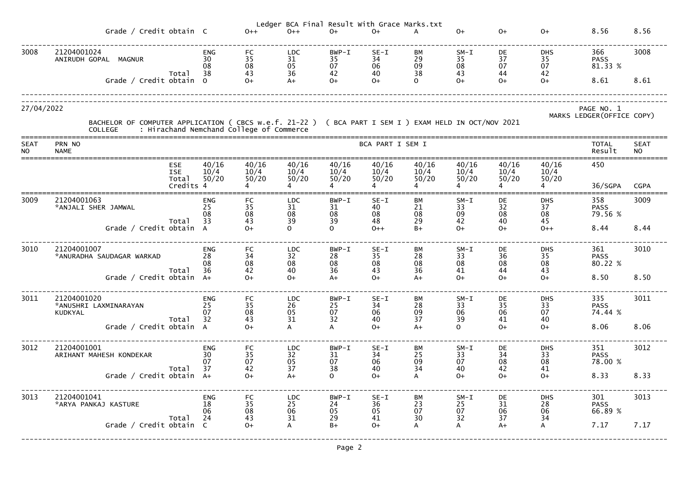|                          | Ledger BCA Final Result With Grace Marks.txt                                                                                                                        |                              |                                                     |                                                             |                                                        |                                 |                                                     |                                                         |                                                     |                              |                                          |                          |  |  |
|--------------------------|---------------------------------------------------------------------------------------------------------------------------------------------------------------------|------------------------------|-----------------------------------------------------|-------------------------------------------------------------|--------------------------------------------------------|---------------------------------|-----------------------------------------------------|---------------------------------------------------------|-----------------------------------------------------|------------------------------|------------------------------------------|--------------------------|--|--|
|                          | Grade / Credit obtain C                                                                                                                                             |                              | $0++$                                               | $0++$                                                       | $0+$                                                   | $0+$                            | A                                                   | $0+$                                                    | $O+$                                                | $0+$                         | 8.56                                     | 8.56                     |  |  |
| 3008                     | 21204001024<br>ANIRUDH GOPAL MAGNUR<br>Total                                                                                                                        | <b>ENG</b><br>30<br>08<br>38 | FC<br>$\begin{array}{c} 35 \\ 08 \end{array}$<br>43 | <b>LDC</b><br>31<br>05<br>36                                | BWP-I<br>$\begin{array}{c} 35 \\ 07 \end{array}$<br>42 | $SE-I$<br>34<br>06<br>40        | BМ<br>29<br>09<br>38                                | $SM-I$<br>35<br>$\frac{08}{43}$                         | DE<br>37<br>07<br>44                                | <b>DHS</b><br>35<br>07<br>42 | 366<br><b>PASS</b><br>81.33 %            | 3008                     |  |  |
|                          | Grade / Credit obtain                                                                                                                                               | $\Omega$                     | $O+$                                                | $A+$                                                        | $O+$                                                   | $O+$                            | $\Omega$                                            | $O+$                                                    | $0+$                                                | $O+$                         | 8.61                                     | 8.61                     |  |  |
| 27/04/2022               |                                                                                                                                                                     |                              |                                                     |                                                             |                                                        |                                 |                                                     |                                                         |                                                     |                              | PAGE NO. 1<br>MARKS LEDGER (OFFICE COPY) |                          |  |  |
|                          | BACHELOR OF COMPUTER APPLICATION ( CBCS w.e.f. 21-22 ) ( BCA PART I SEM I ) EXAM HELD IN OCT/NOV 2021<br>: Hirachand Nemchand College of Commerce<br><b>COLLEGE</b> |                              |                                                     |                                                             |                                                        |                                 |                                                     |                                                         |                                                     |                              |                                          |                          |  |  |
| <b>SEAT</b><br><b>NO</b> | PRN NO<br><b>NAME</b>                                                                                                                                               |                              |                                                     |                                                             |                                                        | BCA PART I SEM I                |                                                     |                                                         |                                                     |                              | <b>TOTAL</b><br>Result                   | <b>SEAT</b><br><b>NO</b> |  |  |
|                          | <b>ESE</b><br><b>ISE</b><br>Total<br>Credits 4                                                                                                                      | 40/16<br>10/4<br>50/20       | 40/16<br>10/4<br>50/20                              | 40/16<br>10/4<br>50/20                                      | 40/16<br>10/4<br>50/20                                 | 40/16<br>10/4<br>50/20          | 40/16<br>10/4<br>50/20                              | 40/16<br>10/4<br>50/20                                  | 40/16<br>10/4<br>50/20                              | 40/16<br>10/4<br>50/20       | 450<br>36/SGPA                           | <b>CGPA</b>              |  |  |
| 3009                     | 21204001063<br>*ANJALI SHER JAMWAL                                                                                                                                  | <b>ENG</b><br>25<br>08<br>33 | FC<br>35<br>08                                      | <b>LDC</b><br>31<br>08<br>39                                | $BWP-T$<br>31<br>08<br>39                              | $SE-I$<br>40<br>08<br>48        | BМ<br>21<br>08<br>29                                | $SM-I$<br>33<br>$\begin{array}{c} 09 \\ 42 \end{array}$ | DE<br>32<br>08                                      | <b>DHS</b><br>37<br>08       | 358<br><b>PASS</b><br>79.56 %            | 3009                     |  |  |
|                          | Total<br>Grade / Credit obtain                                                                                                                                      |                              | 43<br>$O+$                                          | $\Omega$                                                    | $\Omega$                                               | $0++$                           | $B+$                                                | $O+$                                                    | 40<br>$O+$                                          | 45<br>$O++$                  | 8.44                                     | 8.44                     |  |  |
| 3010                     | 21204001007<br>*ANURADHA SAUDAGAR WARKAD                                                                                                                            | <b>ENG</b><br>28<br>08<br>36 | <b>FC</b><br>34<br>08<br>42                         | <b>LDC</b><br>32<br>08<br>40                                | BWP-I<br>28<br>08<br>36                                | $SE-I$<br>35<br>08<br>43        | ВM<br>28<br>08<br>36                                | $SM-I$<br>33<br>08<br>41                                | DE<br>36<br>08<br>44                                | <b>DHS</b><br>35<br>08<br>43 | 361<br><b>PASS</b><br>80.22 %            | 3010                     |  |  |
|                          | Total<br>Grade / Credit obtain                                                                                                                                      | $A+$                         | $O+$                                                | $O+$                                                        | $A+$                                                   | $O+$                            | $A+$                                                | $O+$                                                    | 0+                                                  | $O+$                         | 8.50                                     | 8.50                     |  |  |
| 3011                     | 21204001020<br>*ANUSHRI LAXMINARAYAN<br><b>KUDKYAL</b><br>Total                                                                                                     | <b>ENG</b><br>25<br>07<br>32 | FC<br>35<br>08<br>43                                | <b>LDC</b><br>$\begin{array}{c} 26 \\ 05 \\ 31 \end{array}$ | BWP-I<br>25<br>07<br>32                                | $SE-I$<br>34<br>06<br>40        | BМ<br>28<br>09<br>37                                | $SM-I$<br>33<br>06<br>39                                | DE<br>$\begin{array}{c} 35 \\ 06 \end{array}$<br>41 | <b>DHS</b><br>33<br>07<br>40 | 335<br><b>PASS</b><br>74.44 %            | 3011                     |  |  |
|                          | Grade / Credit obtain A                                                                                                                                             |                              | $O+$                                                |                                                             |                                                        | $O+$                            | $A+$                                                | $\Omega$                                                | $O+$                                                | $O+$                         | 8.06                                     | 8.06                     |  |  |
| 3012                     | 21204001001<br>ARIHANT MAHESH KONDEKAR<br>Total                                                                                                                     | <b>ENG</b><br>30<br>07<br>37 | FC<br>$\begin{array}{c} 35 \\ 07 \end{array}$<br>42 | <b>LDC</b><br>32<br>05<br>37                                | BWP-I<br>31<br>$\begin{array}{c} 07 \\ 38 \end{array}$ | $SE-I$<br>34<br>06<br>40        | BМ<br>$\begin{array}{c} 25 \\ 09 \end{array}$<br>34 | $SM-I$<br>33<br>07<br>40                                | DE<br>34<br>08<br>42                                | <b>DHS</b><br>33<br>08<br>41 | 351<br><b>PASS</b><br>78.00 %            | 3012                     |  |  |
|                          | Grade / Credit obtain A+                                                                                                                                            |                              | $0+$                                                | $A+$                                                        | $\Omega$                                               | $O+$                            |                                                     | $O+$                                                    | $O+$                                                | $O+$                         | 8.33                                     | 8.33                     |  |  |
| 3013                     | 21204001041<br>*ARYA PANKAJ KASTURE<br>Total                                                                                                                        | <b>ENG</b><br>18<br>06<br>24 | <b>FC</b><br>35<br>08<br>43                         | <b>LDC</b><br>25<br>06<br>$\overline{31}$                   | BWP-I<br>24<br>05<br>29                                | $SE-I$<br>36<br>$\frac{05}{41}$ | BМ<br>23<br>07<br>30                                | $SM-I$<br>25<br>07<br>32                                | DE<br>31<br>06<br>37                                | <b>DHS</b><br>28<br>06<br>34 | 301<br><b>PASS</b><br>66.89 %            | 3013                     |  |  |
|                          | Grade / Credit obtain C                                                                                                                                             |                              | $O+$                                                | $\mathsf{A}$                                                | $B+$                                                   | $O+$                            | A                                                   | A                                                       | $A+$                                                | A                            | 7.17                                     | 7.17                     |  |  |
|                          |                                                                                                                                                                     |                              |                                                     |                                                             | Page 2                                                 |                                 |                                                     |                                                         |                                                     |                              |                                          |                          |  |  |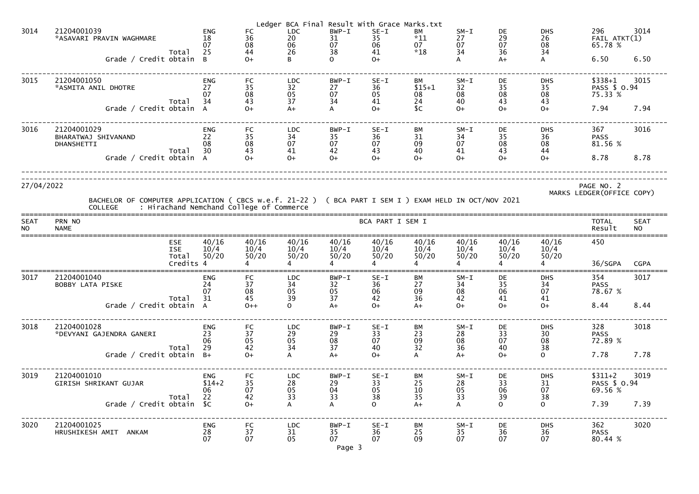|                          |                                                                                                                         |                                                |                                           |                                                            |                                                             | Ledger BCA Final Result With Grace Marks.txt |                                                         |                                                     |                                 |                                                     |                                                             |                                          |                          |
|--------------------------|-------------------------------------------------------------------------------------------------------------------------|------------------------------------------------|-------------------------------------------|------------------------------------------------------------|-------------------------------------------------------------|----------------------------------------------|---------------------------------------------------------|-----------------------------------------------------|---------------------------------|-----------------------------------------------------|-------------------------------------------------------------|------------------------------------------|--------------------------|
| 3014                     | 21204001039<br>*ASAVARI PRAVIN WAGHMARE                                                                                 | Total                                          | <b>ENG</b><br>18<br>07<br>25              | <b>FC</b><br>36<br>08<br>44                                | <b>LDC</b><br>20<br>06<br>26                                | BWP-I<br>31<br>07<br>38                      | $SE-I$<br>35<br>06<br>41                                | BM<br>$*11$<br>07<br>$*18$                          | $SM-I$<br>27<br>07<br>34        | DE<br>$\begin{array}{c} 29 \\ 07 \end{array}$<br>36 | <b>DHS</b><br>26<br>08<br>34                                | 296<br>FAIL ATKT(1)<br>65.78 %           | 3014                     |
|                          | Grade / Credit obtain                                                                                                   |                                                | B.                                        | $O+$                                                       | R.                                                          | $\Omega$                                     | $O+$                                                    |                                                     | A                               | $A+$                                                | A                                                           | 6.50                                     | 6.50                     |
| 3015                     | 21204001050<br>*ASMITA ANIL DHOTRE                                                                                      | Total                                          | <b>ENG</b><br>27<br>07<br>34              | FC<br>$\begin{array}{c} 35 \\ 08 \end{array}$<br>43        | <b>LDC</b><br>$\begin{array}{c} 32 \\ 05 \end{array}$<br>37 | BWP-I<br>27<br>07<br>34                      | $SE-I$<br>36<br>05<br>41                                | BM<br>$$15+1$<br>08<br>24                           | $SM-L$<br>32<br>08<br>40        | DE<br>$\frac{35}{08}$                               | <b>DHS</b><br>$\frac{35}{08}$<br>43                         | $$338+1$<br>PASS \$ 0.94<br>75.33 %      | 3015                     |
|                          | Grade / Credit obtain A                                                                                                 |                                                |                                           | $O+$                                                       | $A+$                                                        | $\mathsf{A}$                                 | $O+$                                                    | C                                                   | $O+$                            | $O+$                                                | $O+$                                                        | 7.94                                     | 7.94                     |
| 3016                     | 21204001029<br>BHARATWAJ SHIVANAND<br>DHANSHETTI                                                                        | Total                                          | <b>ENG</b><br>22<br>08<br>30              | FC<br>$\begin{array}{c} 35 \\ 08 \end{array}$<br>43        | <b>LDC</b><br>34<br>07<br>41                                | BWP-I<br>35<br>07<br>42                      | $SE-I$<br>36<br>07<br>43                                | BМ<br>31<br>09<br>40                                | $SM-L$<br>34<br>07<br>41        | DE<br>35<br>08<br>43                                | <b>DHS</b><br>36<br>08<br>44                                | 367<br><b>PASS</b><br>81.56 %            | 3016                     |
|                          | Grade / Credit obtain A                                                                                                 |                                                |                                           | $O+$                                                       | $O+$                                                        | $O+$                                         | $O+$                                                    | $0+$                                                | $O+$                            | $O+$                                                | $O+$                                                        | 8.78                                     | 8.78                     |
| 27/04/2022               | BACHELOR OF COMPUTER APPLICATION ( CBCS w.e.f. 21-22 ) ( BCA PART I SEM I ) EXAM HELD IN OCT/NOV 2021<br><b>COLLEGE</b> |                                                |                                           | : Hirachand Nemchand College of Commerce                   |                                                             |                                              |                                                         |                                                     |                                 |                                                     |                                                             | PAGE NO. 2<br>MARKS LEDGER (OFFICE COPY) |                          |
| <b>SEAT</b><br><b>NO</b> | PRN NO<br><b>NAME</b>                                                                                                   |                                                |                                           |                                                            |                                                             |                                              | BCA PART I SEM I                                        |                                                     |                                 |                                                     |                                                             | <b>TOTAL</b><br>Result                   | <b>SEAT</b><br><b>NO</b> |
|                          |                                                                                                                         | <b>ESE</b><br><b>ISE</b><br>Total<br>Credits 4 | 40/16<br>10/4<br>50/20                    | 40/16<br>10/4<br>50/20                                     | 40/16<br>10/4<br>50/20                                      | 40/16<br>10/4<br>50/20                       | 40/16<br>10/4<br>50/20                                  | 40/16<br>10/4<br>50/20                              | 40/16<br>10/4<br>50/20          | 40/16<br>10/4<br>50/20                              | 40/16<br>10/4<br>50/20                                      | 450<br>36/SGPA                           | <b>CGPA</b>              |
| 3017                     | 21204001040<br>BOBBY LATA PISKE                                                                                         | Total                                          | <b>ENG</b><br>24<br>07<br>$\overline{31}$ | <b>FC</b><br>37<br>$\begin{array}{c} 08 \\ 45 \end{array}$ | <b>LDC</b><br>34<br>$\frac{05}{39}$                         | BWP-I<br>32<br>05<br>37                      | $SE-I$<br>36<br>$06$<br>42                              | BM<br>27<br>$\frac{09}{36}$                         | $SM-I$<br>34<br>$\frac{08}{42}$ | DE<br>35<br>06<br>41                                | <b>DHS</b><br>34<br>$\frac{07}{41}$                         | 354<br><b>PASS</b><br>78.67 %            | 3017                     |
|                          | Grade / Credit obtain A                                                                                                 |                                                |                                           | $0++$                                                      | $\Omega$                                                    | $A+$                                         | $O+$                                                    | $A+$                                                | $O+$                            | $O+$                                                | $O+$                                                        | 8.44                                     | 8.44                     |
| 3018                     | 21204001028<br>*DEVYANI GAJENDRA GANERI                                                                                 |                                                | <b>ENG</b><br>23<br>06                    | FC<br>37<br>$\frac{05}{42}$                                | <b>LDC</b><br>29<br>05<br>34                                | BWP-I<br>29<br>08<br>37                      | $SE-I$<br>33<br>07                                      | ВM<br>23<br>09<br>32                                | $SM-L$<br>28<br>08<br>36        | DE<br>$\frac{33}{07}$                               | <b>DHS</b><br>$\begin{array}{c} 30 \\ 08 \\ 38 \end{array}$ | 328<br><b>PASS</b><br>72.89 %            | 3018                     |
|                          | Grade / Credit obtain $B+$                                                                                              | Total                                          | 29                                        | $O+$                                                       |                                                             | $A+$                                         | 40<br>$O+$                                              | A                                                   | $A+$                            | $O+$                                                | $\overline{O}$                                              | 7.78                                     | 7.78                     |
| 3019                     | 21204001010<br>GIRISH SHRIKANT GUJAR                                                                                    | Total                                          | ENG<br>$$14+2$<br>06<br>22                | FC<br>$\begin{array}{c} 35 \\ 07 \\ 42 \end{array}$        | <b>LDC</b><br>28<br>05<br>33                                | BWP-I<br>29<br>04<br>33                      | $SE-I$<br>33<br>$\begin{array}{c} 05 \\ 38 \end{array}$ | BM<br>$\begin{array}{c} 25 \\ 10 \\ 35 \end{array}$ | $SM-L$<br>28<br>05<br>33        | DE<br>33<br>06<br>39                                | <b>DHS</b><br>31<br>07<br>38                                | $$311+2$<br>PASS \$ 0.94<br>69.56 %      | 3019                     |
|                          | Grade / Credit obtain \$C                                                                                               |                                                |                                           | $O+$                                                       |                                                             |                                              | $\Omega$                                                | $A+$                                                | A                               | $\Omega$                                            | $\overline{O}$                                              | 7.39                                     | 7.39                     |
| 3020                     | 21204001025<br>HRUSHIKESH AMIT ANKAM                                                                                    |                                                | <b>ENG</b><br>28<br>07                    | FC<br>$\begin{array}{c} 37 \\ 07 \end{array}$              | <b>LDC</b><br>$\begin{array}{c} 31 \\ 05 \end{array}$       | BWP-I<br>35<br>07<br>Page 3                  | $SE-I$<br>36<br>07                                      | ВM<br>$\begin{array}{c} 25 \\ 09 \end{array}$       | $SM-I$<br>$\frac{35}{07}$       | DE<br>$\overline{36}$<br>07                         | <b>DHS</b><br>36<br>07                                      | 362<br><b>PASS</b><br>80.44 %            | 3020                     |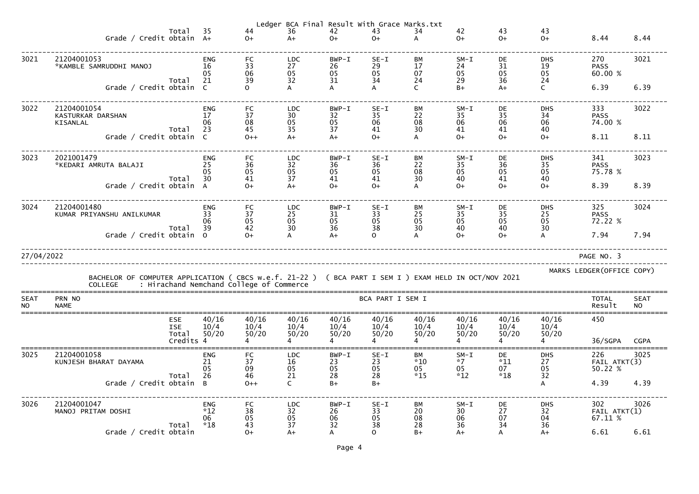|                          |                                                                                                                                                           |                                         |                                    |                             |                                                             |                             | Ledger BCA Final Result With Grace Marks.txt |                            |                               |                            |                                                             |                                |                          |
|--------------------------|-----------------------------------------------------------------------------------------------------------------------------------------------------------|-----------------------------------------|------------------------------------|-----------------------------|-------------------------------------------------------------|-----------------------------|----------------------------------------------|----------------------------|-------------------------------|----------------------------|-------------------------------------------------------------|--------------------------------|--------------------------|
|                          | Grade / Credit obtain A+                                                                                                                                  | Total                                   | 35                                 | 44<br>$0+$                  | 36<br>$A+$                                                  | 42<br>$O+$                  | 43<br>$O+$                                   | 34                         | 42<br>$O+$                    | 43<br>$O+$                 | 43<br>$O+$                                                  | 8.44                           | 8.44                     |
| 3021                     | 21204001053<br>*KAMBLE SAMRUDDHI MANOJ                                                                                                                    | Total                                   | <b>ENG</b><br>16<br>05<br>21       | FC<br>33<br>06<br>39        | <b>LDC</b><br>27<br>05<br>32                                | $BWP - I$<br>26<br>05<br>31 | $SE-I$<br>29<br>05<br>34                     | BM<br>17<br>07<br>24       | $SM-I$<br>24<br>05<br>29      | DE<br>31<br>05<br>36       | <b>DHS</b><br>19<br>$\begin{array}{c} 05 \\ 24 \end{array}$ | 270<br><b>PASS</b><br>60.00 %  | 3021                     |
|                          | Grade / Credit obtain C                                                                                                                                   |                                         |                                    | $\mathsf{O}$                |                                                             | A                           |                                              | C                          | $B+$                          | $A+$                       | $\mathsf{C}$                                                | 6.39                           | 6.39                     |
| 3022                     | 21204001054<br>KASTURKAR DARSHAN<br>KISANLAL                                                                                                              |                                         | <b>ENG</b><br>17<br>06             | FC<br>37<br>08              | <b>LDC</b><br>30<br>05                                      | BWP-I<br>32<br>05           | $SE-I$<br>35<br>06                           | BM<br>22<br>08             | $SM-I$<br>35<br>06            | DE<br>35<br>06             | <b>DHS</b><br>34<br>06                                      | 333<br><b>PASS</b><br>74.00 %  | 3022                     |
|                          | Grade / Credit obtain C                                                                                                                                   | Total                                   | 23                                 | 45<br>$O++$                 | 35<br>$A+$                                                  | 37<br>$A+$                  | 41<br>$0+$                                   | 30                         | 41<br>$O+$                    | 41<br>$0+$                 | 40<br>$O+$                                                  | 8.11                           | 8.11                     |
| 3023                     | 2021001479<br>*KEDARI AMRUTA BALAJI                                                                                                                       |                                         | <b>ENG</b><br>25<br>05<br>30       | FC<br>36<br>05<br>41        | <b>LDC</b><br>32<br>05<br>37                                | $BWP - I$<br>36<br>05<br>41 | $SE-I$<br>36<br>05<br>41                     | BM<br>22<br>08             | $SM-I$<br>35<br>05<br>40      | DE<br>36<br>05<br>41       | <b>DHS</b><br>35<br>05<br>40                                | 341<br><b>PASS</b><br>75.78 %  | 3023                     |
|                          | Grade / Credit obtain A                                                                                                                                   | Total                                   |                                    | $O+$                        | $A+$                                                        | $O+$                        | $0+$                                         | 30                         | $O+$                          | $0+$                       | $O+$                                                        | 8.39                           | 8.39                     |
| 3024                     | 21204001480<br>KUMAR PRIYANSHU ANILKUMAR                                                                                                                  | Total                                   | <b>ENG</b><br>33<br>06<br>39       | <b>FC</b><br>37<br>05<br>42 | <b>LDC</b><br>25<br>05<br>30                                | $BWP - I$<br>31<br>05<br>36 | $SE-I$<br>33<br>05<br>38                     | BM<br>25<br>05<br>30       | $SM-I$<br>35<br>05<br>40      | DE<br>35<br>05<br>40       | <b>DHS</b><br>25<br>05<br>30                                | 325<br><b>PASS</b><br>72.22 %  | 3024                     |
|                          | Grade / Credit obtain 0                                                                                                                                   |                                         |                                    | $O+$                        |                                                             | $A+$                        |                                              |                            | $O+$                          | $O+$                       | A                                                           | 7.94                           | 7.94                     |
| 27/04/2022               |                                                                                                                                                           |                                         |                                    |                             |                                                             |                             |                                              |                            |                               |                            |                                                             | PAGE NO. 3                     |                          |
|                          | BACHELOR OF COMPUTER APPLICATION ( CBCS w.e.f. 21-22 ) ( BCA PART I SEM I ) EXAM HELD IN OCT/NOV 2021<br>COLLEGE : Hirachand Nemchand College of Commerce |                                         |                                    |                             |                                                             |                             |                                              |                            |                               |                            |                                                             | MARKS LEDGER (OFFICE COPY)     |                          |
| <b>SEAT</b><br><b>NO</b> | PRN NO<br><b>NAME</b>                                                                                                                                     |                                         |                                    |                             |                                                             |                             | BCA PART I SEM I                             |                            |                               |                            |                                                             | <b>TOTAL</b><br>Result         | <b>SEAT</b><br><b>NO</b> |
|                          |                                                                                                                                                           | ESE<br><b>ISE</b><br>Total<br>Credits 4 | 40/16<br>10/4<br>50/20             | 40/16<br>10/4<br>50/20      | 40/16<br>10/4<br>50/20                                      | 40/16<br>10/4<br>50/20      | 40/16<br>10/4<br>50/20                       | 40/16<br>10/4<br>50/20     | 40/16<br>10/4<br>50/20        | 40/16<br>10/4<br>50/20     | 40/16<br>10/4<br>50/20                                      | 450<br>36/SGPA                 | <b>CGPA</b>              |
| 3025                     | 21204001058<br>KUNJESH BHARAT DAYAMA                                                                                                                      | Total                                   | <b>ENG</b><br>21<br>05<br>26       | <b>FC</b><br>37<br>09<br>46 | <b>LDC</b><br>16<br>05<br>21                                | BWP-I<br>23<br>05<br>28     | $SE-I$<br>23<br>05<br>28                     | ВM<br>$*10$<br>05<br>$*15$ | $SM-I$<br>$*7$<br>05<br>$*12$ | DE<br>$*11$<br>07<br>$*18$ | <b>DHS</b><br>27<br>$\begin{array}{c} 05 \\ 32 \end{array}$ | 226<br>FAIL ATKT(3)<br>50.22 % | 3025                     |
|                          | Grade / Credit obtain                                                                                                                                     |                                         | $\overline{B}$                     | $O++$                       | C.                                                          | $B+$                        | $B+$                                         |                            |                               |                            | $\mathsf{A}$                                                | 4.39                           | 4.39                     |
| 3026                     | 21204001047<br>MANOJ PRITAM DOSHI                                                                                                                         | Total                                   | <b>ENG</b><br>$*12$<br>06<br>$*18$ | FC<br>38<br>05<br>43        | <b>LDC</b><br>$\begin{array}{c} 32 \\ 05 \end{array}$<br>37 | $BWP - I$<br>26<br>06<br>32 | $SE-I$<br>33<br>05<br>38                     | BM<br>20<br>08<br>28       | $SM-I$<br>30<br>06<br>36      | DE<br>27<br>07<br>34       | <b>DHS</b><br>$\frac{32}{04}$<br>36                         | 302<br>FAIL ATKT(1)<br>67.11 % | 3026                     |
|                          | Grade / Credit obtain                                                                                                                                     |                                         |                                    | $0+$                        | $A+$                                                        | A                           | $\mathbf{O}$                                 | $B+$                       | $A+$                          | A                          | $A+$                                                        | 6.61                           | 6.61                     |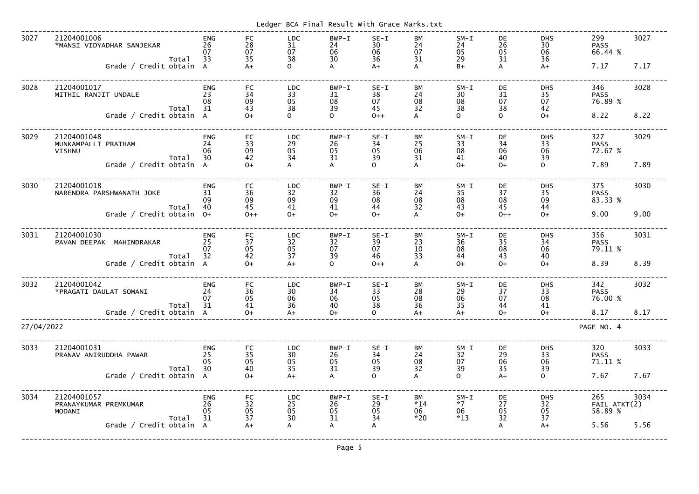|            |                                                              |                              |                                                     |                                                             | Ledger BCA Final Result With Grace Marks.txt           |                                 |                             |                               |                      |                                                             |                                |      |
|------------|--------------------------------------------------------------|------------------------------|-----------------------------------------------------|-------------------------------------------------------------|--------------------------------------------------------|---------------------------------|-----------------------------|-------------------------------|----------------------|-------------------------------------------------------------|--------------------------------|------|
| 3027       | 21204001006<br>*MANSI VIDYADHAR SANJEKAR<br>Total            | <b>ENG</b><br>26<br>07<br>33 | FC<br>28<br>07<br>35                                | <b>LDC</b><br>31<br>07<br>38                                | BWP-I<br>24<br>06<br>30                                | $SE-I$<br>30<br>06<br>36        | <b>BM</b><br>24<br>07<br>31 | $SM-I$<br>24<br>05<br>29      | DE<br>26<br>05<br>31 | <b>DHS</b><br>30<br>06<br>36                                | 299<br><b>PASS</b><br>66.44 %  | 3027 |
|            | Grade / Credit obtain                                        | $\overline{A}$               | $A+$                                                | $\Omega$                                                    | A                                                      | $A+$                            | A                           | $B+$                          | A                    | $A+$                                                        | 7.17                           | 7.17 |
| 3028       | 21204001017<br>MITHIL RANJIT UNDALE                          | <b>ENG</b><br>23<br>08       | <b>FC</b><br>34<br>09                               | <b>LDC</b><br>33<br>05                                      | BWP-I<br>31<br>08                                      | $SE-I$<br>38<br>07              | BM<br>24<br>08              | $SM-I$<br>30<br>08            | DE<br>31<br>07       | <b>DHS</b><br>35<br>07                                      | 346<br><b>PASS</b><br>76.89 %  | 3028 |
|            | Total<br>Grade / Credit obtain                               | 31<br>$\overline{A}$         | 43<br>$O+$                                          | 38<br>$\Omega$                                              | 39<br>$\Omega$                                         | 45<br>$0++$                     | 32<br>A                     | 38<br>$\overline{O}$          | 38<br>$\overline{O}$ | 42<br>$O+$                                                  | 8.22                           | 8.22 |
| 3029       | 21204001048<br>MUNKAMPALLI PRATHAM<br><b>VISHNU</b><br>Total | <b>ENG</b><br>24<br>06<br>30 | <b>FC</b><br>33<br>09<br>42                         | <b>LDC</b><br>29<br>05<br>34                                | BWP-I<br>26<br>05<br>31                                | $SE-I$<br>34<br>05<br>39        | BМ<br>25<br>06<br>31        | $SM-I$<br>33<br>08<br>41      | DE<br>34<br>06<br>40 | <b>DHS</b><br>33<br>06<br>39                                | 327<br><b>PASS</b><br>72.67 %  | 3029 |
|            | Grade / Credit obtain                                        | $\overline{A}$               | $O+$                                                | A                                                           | $\mathsf{A}$                                           | $\Omega$                        | A                           | $O+$                          | $O+$                 | $\mathsf{O}$                                                | 7.89                           | 7.89 |
| 3030       | 21204001018<br>NARENDRA PARSHWANATH JOKE                     | <b>ENG</b><br>31<br>09<br>40 | FC<br>36<br>09<br>45                                | <b>LDC</b><br>32<br>09<br>41                                | BWP-I<br>32<br>09<br>41                                | $SE-I$<br>36<br>08<br>44        | BМ<br>24<br>08<br>32        | $SM-I$<br>35<br>08<br>43      | DE<br>37<br>08<br>45 | <b>DHS</b><br>35<br>09<br>44                                | 375<br><b>PASS</b><br>83.33 %  | 3030 |
|            | Total<br>Grade / Credit obtain                               | $0+$                         | $0++$                                               | $O+$                                                        | $O+$                                                   | $O+$                            | A                           | $O+$                          | $0++$                | $O+$                                                        | 9.00                           | 9.00 |
| 3031       | 21204001030<br>PAVAN DEEPAK<br>MAHINDRAKAR                   | <b>ENG</b><br>25<br>07<br>32 | <b>FC</b><br>37<br>05                               | <b>LDC</b><br>32<br>05                                      | BWP-I<br>32<br>07                                      | $SE-I$<br>39<br>07<br>46        | BМ<br>23<br>10              | $SM-I$<br>36<br>08            | DE<br>35<br>08       | <b>DHS</b><br>34<br>06                                      | 356<br><b>PASS</b><br>79.11 %  | 3031 |
|            | Total<br>Grade / Credit obtain                               | $\overline{A}$               | 42<br>$O+$                                          | 37<br>$A+$                                                  | 39<br>$\Omega$                                         | $0++$                           | 33<br>$\overline{A}$        | 44<br>$O+$                    | 43<br>$O+$           | 40<br>$O+$                                                  | 8.39                           | 8.39 |
| 3032       | 21204001042<br>*PRAGATI DAULAT SOMANI<br>Total               | <b>ENG</b><br>24<br>07<br>31 | FC<br>$\frac{36}{05}$<br>41                         | <b>LDC</b><br>$\begin{array}{c} 30 \\ 06 \\ 36 \end{array}$ | BWP-I<br>34<br>$\begin{array}{c} 06 \\ 40 \end{array}$ | $SE-I$<br>33<br>05<br>38        | ВM<br>28<br>08<br>36        | $SM-I$<br>29<br>06<br>35      | DE<br>37<br>07<br>44 | <b>DHS</b><br>33<br>08<br>41                                | 342<br><b>PASS</b><br>76.00 %  | 3032 |
|            | Grade / Credit obtain A                                      |                              | $O+$                                                | $A+$                                                        | $O+$                                                   | $\Omega$                        | $A+$                        | $A+$                          | $O+$                 | $O+$                                                        | 8.17                           | 8.17 |
| 27/04/2022 |                                                              |                              |                                                     |                                                             |                                                        |                                 |                             |                               |                      |                                                             | PAGE NO. 4                     |      |
| 3033       | 21204001031<br>PRANAV ANIRUDDHA PAWAR<br>Total               | ENG<br>25<br>05<br>30        | FC<br>35<br>05<br>40                                | <b>LDC</b><br>$\begin{array}{c} 30 \\ 05 \\ 35 \end{array}$ | BWP-I<br>26<br>05<br>31                                | $SE-I$<br>34<br>05<br>39        | ВM<br>24<br>08<br>32        | $SM-I$<br>32<br>07<br>39      | DE<br>29<br>06<br>35 | <b>DHS</b><br>33<br>06<br>39                                | 320<br><b>PASS</b><br>71.11 %  | 3033 |
|            | Grade / Credit obtain A                                      |                              | $O+$                                                | $A+$                                                        |                                                        | $\Omega$                        |                             | $\overline{O}$                | $A+$                 | $\overline{O}$                                              | 7.67                           | 7.67 |
| 3034       | 21204001057<br>PRANAYKUMAR PREMKUMAR<br>MODANI<br>Total      | ENG<br>26<br>05<br>31        | FC<br>$\begin{array}{c} 32 \\ 05 \end{array}$<br>37 | <b>LDC</b><br>$\begin{array}{c} 25 \\ 05 \\ 30 \end{array}$ | BWP-I<br>26<br>05<br>31                                | $SE-I$<br>29<br>$\frac{05}{34}$ | BM<br>$*14$<br>06<br>$*20$  | $SM-I$<br>$*7$<br>06<br>$*13$ | DE<br>27<br>05<br>32 | <b>DHS</b><br>$\begin{array}{c} 32 \\ 05 \\ 37 \end{array}$ | 265<br>FAIL ATKT(2)<br>58.89 % | 3034 |
|            | Grade / Credit obtain A                                      |                              | $A+$                                                | $\mathsf{A}$                                                |                                                        |                                 |                             |                               | A                    | $A+$                                                        | 5.56                           | 5.56 |
|            |                                                              |                              |                                                     |                                                             | Page 5                                                 |                                 |                             |                               |                      |                                                             |                                |      |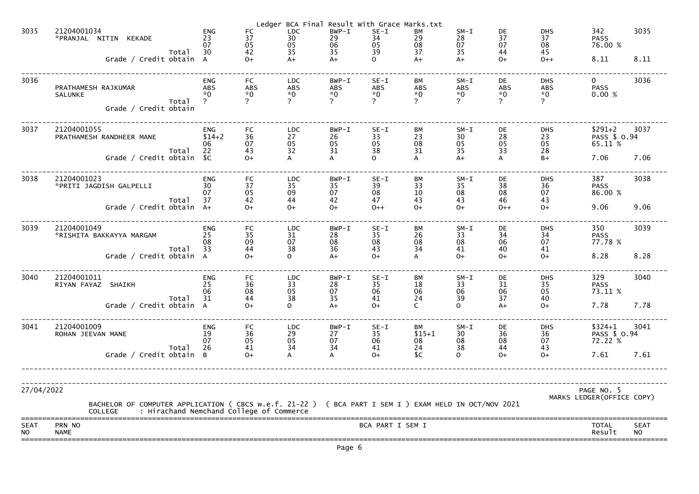|                          |                                                                                                                                                                     |                                  |                                 |                                                     | Page 6                     |                                                 |                                               |                              |                            |                                                       |                                          |                          |
|--------------------------|---------------------------------------------------------------------------------------------------------------------------------------------------------------------|----------------------------------|---------------------------------|-----------------------------------------------------|----------------------------|-------------------------------------------------|-----------------------------------------------|------------------------------|----------------------------|-------------------------------------------------------|------------------------------------------|--------------------------|
| <b>SEAT</b><br><b>NO</b> | PRN NO<br><b>NAME</b>                                                                                                                                               |                                  |                                 |                                                     |                            | BCA PART I SEM I                                |                                               |                              |                            |                                                       | TOTAL<br>Result                          | <b>SEAT</b><br><b>NO</b> |
| 27/04/2022               | BACHELOR OF COMPUTER APPLICATION ( CBCS w.e.f. 21-22 ) ( BCA PART I SEM I ) EXAM HELD IN OCT/NOV 2021<br>: Hirachand Nemchand College of Commerce<br><b>COLLEGE</b> |                                  |                                 |                                                     |                            |                                                 |                                               |                              |                            |                                                       | PAGE NO. 5<br>MARKS LEDGER (OFFICE COPY) |                          |
|                          |                                                                                                                                                                     |                                  |                                 |                                                     |                            |                                                 |                                               |                              |                            |                                                       |                                          |                          |
|                          | Total<br>Grade / Credit obtain B                                                                                                                                    | 07<br>26                         | 41<br>$O+$                      | 34                                                  | 34<br>A                    | 35<br>06<br>41<br>$0+$                          | 08<br>24<br>C                                 | 38<br>$\Omega$               | 44<br>$O+$                 | 43<br>$O+$                                            | 72.22 %<br>7.61                          | 7.61                     |
| 3041                     | 21204001009<br>ROHAN JEEVAN MANE                                                                                                                                    | <b>ENG</b><br>19                 | FC<br>$\frac{36}{05}$           | <b>LDC</b><br>$\mathop{29}_{05}$                    | $BWP-T$<br>$\frac{27}{07}$ | $SE-I$                                          | BM<br>$$15+1$                                 | $SM-I$<br>$\frac{30}{08}$    | DE<br>$\frac{1}{36}$<br>08 | <b>DHS</b><br>$\begin{array}{c} 36 \\ 07 \end{array}$ | $$324+1$<br>PASS \$ 0.94                 | 3041                     |
|                          | Total<br>Grade / Credit obtain A                                                                                                                                    | 06<br>31                         | 08<br>44<br>$O+$                | $\begin{array}{c} 05 \\ 38 \end{array}$<br>$\Omega$ | 07<br>35<br>$A+$           | $\begin{array}{c} 06 \\ 41 \end{array}$<br>$0+$ | 06<br>24                                      | 06<br>39<br>$\Omega$         | $\frac{06}{37}$<br>A+      | 05<br>40<br>$O+$                                      | 73.11 %<br>7.78                          | 7.78                     |
| 3040                     | 21204001011<br>RIYAN FAYAZ SHAIKH                                                                                                                                   | <b>ENG</b><br>25                 | FC<br>36                        | <b>LDC</b><br>33                                    | BWP-I<br>28                | $SE-I$<br>35                                    | ВM<br>18                                      | $SM-I$<br>33                 | DE<br>31                   | <b>DHS</b><br>35                                      | 329<br><b>PASS</b>                       | 3040                     |
|                          | Total<br>Grade / Credit obtain A                                                                                                                                    | 33                               | 44<br>$O+$                      | 38<br>$\Omega$                                      | 36<br>$A+$                 | 43<br>$0+$                                      | 34                                            | 41<br>$O+$                   | 40<br>$O+$                 | 41<br>$O+$                                            | 8.28                                     | 8.28                     |
| 3039                     | 21204001049<br>*RISHITA BAKKAYYA MARGAM                                                                                                                             | <b>ENG</b><br>25<br>08           | FC<br>35<br>09                  | <b>LDC</b><br>31<br>07                              | $BWP - I$<br>28<br>08      | $SE-I$<br>35<br>08                              | ВM<br>26<br>08                                | $SM-L$<br>33<br>08           | DE<br>34<br>06             | <b>DHS</b><br>34<br>07                                | 350<br><b>PASS</b><br>77.78 %            | 3039                     |
|                          | Total<br>Grade / Credit obtain A+                                                                                                                                   | 37                               | 42<br>$O+$                      | 44<br>$O+$                                          | 42<br>$O+$                 | 47<br>$0++$                                     | 43<br>$0+$                                    | 43<br>$O+$                   | 46<br>$0++$                | 43<br>$O+$                                            | 9.06                                     | 9.06                     |
| 3038                     | 21204001023<br>*PRITI JAGDISH GALPELLI                                                                                                                              | <b>ENG</b><br>30<br>07           | <b>FC</b><br>37<br>05           | <b>LDC</b><br>35<br>09                              | $BWP-I$<br>35<br>07        | $SE-I$<br>39<br>08                              | BM<br>33<br>10                                | $SM-L$<br>35<br>08           | DE<br>38<br>08             | <b>DHS</b><br>36<br>07                                | 387<br><b>PASS</b><br>86.00 %            | 3038                     |
|                          | Total<br>Grade / Credit obtain \$C                                                                                                                                  | 22                               | 43<br>$O+$                      | 32                                                  | 31                         | 38<br>$\Omega$                                  | 31                                            | 35<br>$A+$                   | 33                         | 28<br>$B+$                                            | 7.06                                     | 7.06                     |
| 3037                     | 21204001055<br>PRATHAMESH RANDHEER MANE                                                                                                                             | <b>ENG</b><br>$$14+2$<br>06      | FC<br>36<br>07                  | <b>LDC</b><br>27<br>05                              | $BWP-I$<br>26<br>05        | $SE-I$<br>33<br>05                              | BM<br>23<br>08                                | $SM-L$<br>30<br>05           | DE<br>28<br>05             | <b>DHS</b><br>23<br>05                                | $$291+2$<br>PASS \$ 0.94<br>65.11 %      | 3037                     |
|                          | <b>SALUNKE</b><br>Total<br>Grade / Credit obtain                                                                                                                    |                                  | $\overline{?}$                  | $\mathbf{P}$                                        | $\mathcal{P}$              |                                                 | $\mathcal{P}$                                 | $\overline{2}$               | $\mathbf{P}$               | $\overline{?}$                                        |                                          |                          |
| 3036                     | PRATHAMESH RAJKUMAR                                                                                                                                                 | <b>ENG</b><br><b>ABS</b><br>$*0$ | <b>FC</b><br><b>ABS</b><br>$*0$ | <b>LDC</b><br>ABS<br>$*0$                           | $BWP-T$<br>ABS<br>$*0$     | $SE-I$<br>ABS<br>$*0$                           | BM<br><b>ABS</b><br>$*0$                      | $SM-I$<br><b>ABS</b><br>$*0$ | DE<br><b>ABS</b><br>$*0$   | <b>DHS</b><br><b>ABS</b><br>$*0$                      | $\mathbf{0}$<br><b>PASS</b><br>0.00%     | 3036                     |
|                          | Total<br>Grade / Credit obtain A                                                                                                                                    | 30                               | 42<br>$O+$                      | 35<br>$A+$                                          | 35<br>$A+$                 | 39<br>$\Omega$                                  | 37<br>$A+$                                    | 35<br>$A+$                   | 44<br>$O+$                 | 45<br>$0++$                                           | 8.11                                     | 8.11                     |
| 3035                     | 21204001034<br>*PRANJAL NITIN KEKADE                                                                                                                                | <b>ENG</b><br>23<br>07           | FC<br>37<br>05                  | Ledger BCA Final<br><b>LDC</b><br>30<br>05          | BWP-I<br>29<br>06          | $SE-I$<br>34<br>05                              | Result With Grace Marks.txt<br>ВM<br>29<br>08 | $SM-I$<br>28<br>07           | DE<br>37<br>07             | <b>DHS</b><br>37<br>08                                | 342<br><b>PASS</b><br>76.00 %            | 3035                     |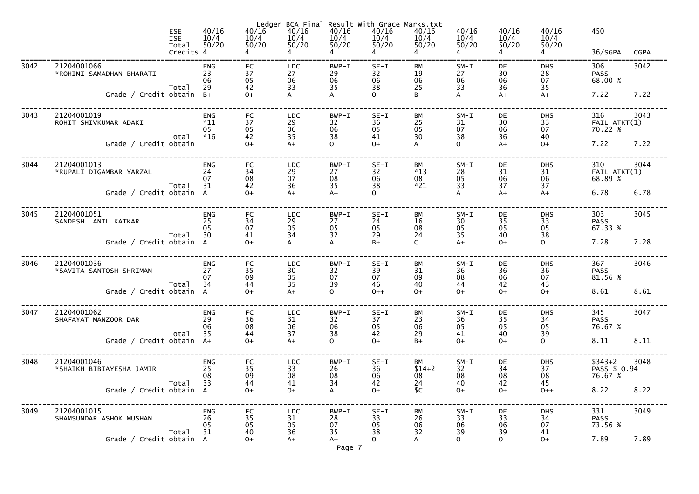|      |                                         | <b>ESE</b><br><b>ISE</b><br>Total<br>Credits 4 | 40/16<br>10/4<br>50/20             | Ledger<br>40/16<br>10/4<br>50/20                           | 40/16<br>10/4<br>50/20                                      | 40/16<br>10/4<br>50/20                                 | BCA Final Result With Grace Marks.txt<br>40/16<br>10/4<br>50/20 | 40/16<br>10/4<br>50/20      | 40/16<br>10/4<br>50/20   | 40/16<br>10/4<br>50/20 | 40/16<br>10/4<br>50/20                                      | 450<br>36/SGPA                 | <b>CGPA</b> |
|------|-----------------------------------------|------------------------------------------------|------------------------------------|------------------------------------------------------------|-------------------------------------------------------------|--------------------------------------------------------|-----------------------------------------------------------------|-----------------------------|--------------------------|------------------------|-------------------------------------------------------------|--------------------------------|-------------|
| 3042 | 21204001066<br>*ROHINI SAMADHAN BHARATI | Total                                          | <b>ENG</b><br>23<br>06<br>29       | <b>FC</b><br>37<br>05<br>42                                | <b>LDC</b><br>27<br>06<br>33                                | BWP-I<br>29<br>06<br>35                                | $SE-I$<br>32<br>06<br>38                                        | BМ<br>19<br>06<br>25        | $SM-I$<br>27<br>06<br>33 | DE<br>30<br>06<br>36   | <b>DHS</b><br>28<br>07<br>35                                | 306<br><b>PASS</b><br>68.00 %  | 3042        |
|      | Grade / Credit obtain $B+$              |                                                |                                    | $0+$                                                       |                                                             | $A+$                                                   | $\mathsf{O}$                                                    |                             |                          | $A+$                   | $A+$                                                        | 7.22                           | 7.22        |
| 3043 | 21204001019<br>ROHIT SHIVKUMAR ADAKI    | Total                                          | <b>ENG</b><br>$*11$<br>05<br>$*16$ | <b>FC</b><br>37<br>05<br>42                                | <b>LDC</b><br>29<br>06<br>35                                | BWP-I<br>32<br>06<br>38                                | $SE-I$<br>36<br>05<br>41                                        | <b>BM</b><br>25<br>05<br>30 | $SM-I$<br>31<br>07<br>38 | DE<br>30<br>06<br>36   | <b>DHS</b><br>33<br>07<br>40                                | 316<br>FAIL ATKT(1)<br>70.22 % | 3043        |
|      | Grade / Credit obtain                   |                                                |                                    | $0+$                                                       | $A+$                                                        | $\mathbf{O}$                                           | $O+$                                                            |                             | $\Omega$                 | $A+$                   | $O+$                                                        | 7.22                           | 7.22        |
| 3044 | 21204001013<br>*RUPALI DIGAMBAR YARZAL  |                                                | <b>ENG</b><br>24<br>07             | <b>FC</b><br>34<br>08                                      | <b>LDC</b><br>29<br>07                                      | BWP-I<br>27<br>08                                      | $SE-I$<br>32<br>06                                              | BM<br>$*13$<br>08           | $SM-I$<br>28<br>05       | DE<br>31<br>06         | <b>DHS</b><br>31<br>06                                      | 310<br>FAIL ATKT(1)<br>68.89 % | 3044        |
|      | Grade / Credit obtain A                 | Total                                          | 31                                 | 42<br>$O+$                                                 | 36<br>$A+$                                                  | 35<br>$A+$                                             | 38                                                              | $*21$                       | 33                       | 37<br>$A+$             | 37<br>$A+$                                                  | 6.78                           | 6.78        |
| 3045 | 21204001051<br>SANDESH ANIL KATKAR      |                                                | <b>ENG</b><br>25<br>05<br>30       | <b>FC</b><br>34<br>07                                      | <b>LDC</b><br>29<br>05                                      | BWP-I<br>27<br>05<br>32                                | $SE-I$<br>24<br>05                                              | BM<br>16<br>08              | $SM-I$<br>30<br>05       | DE<br>35<br>05         | <b>DHS</b><br>33<br>05                                      | 303<br><b>PASS</b><br>67.33 %  | 3045        |
|      | Grade / Credit obtain A                 | Total                                          |                                    | 41<br>$O+$                                                 | 34<br>A                                                     | $\mathsf{A}$                                           | 29<br>$B+$                                                      | 24<br>$\mathsf{C}$          | 35<br>$A+$               | 40<br>$0+$             | 38<br>$\mathsf{O}$                                          | 7.28                           | 7.28        |
| 3046 | 21204001036<br>*SAVITA SANTOSH SHRIMAN  |                                                | <b>ENG</b><br>27<br>07             | <b>FC</b><br>35<br>09<br>44                                | <b>LDC</b><br>$\begin{array}{c} 30 \\ 05 \end{array}$<br>35 | BWP-I<br>$\begin{array}{c} 32 \\ 07 \end{array}$<br>39 | $SE-I$<br>39<br>07<br>46                                        | ВM<br>31<br>09<br>40        | $SM-L$<br>36<br>08<br>44 | DE<br>36<br>06<br>42   | <b>DHS</b><br>$\begin{array}{c} 36 \\ 07 \end{array}$<br>43 | 367<br><b>PASS</b><br>81.56 %  | 3046        |
|      | 34 Total<br>Grade / Credit obtain A     |                                                |                                    | $O+$                                                       | $A+$                                                        | 0                                                      | $0++$                                                           | $O+$                        | $O+$                     | $O+$                   | $O+$                                                        | 8.61                           | 8.61        |
| 3047 | 21204001062<br>SHAFAYAT MANZOOR DAR     | Total                                          | <b>ENG</b><br>29<br>06<br>35       | <b>FC</b><br>$\begin{array}{c} 36 \\ 08 \end{array}$<br>44 | <b>LDC</b><br>$\frac{31}{06}$<br>37                         | BWP-I<br>$\begin{array}{c} 32 \\ 06 \end{array}$<br>38 | $SE-I$<br>37<br>05<br>42                                        | BM<br>23<br>06<br>29        | $SM-I$<br>36<br>05<br>41 | DE<br>35<br>05<br>40   | <b>DHS</b><br>34<br>$\begin{array}{c} 05 \\ 39 \end{array}$ | 345<br><b>PASS</b><br>76.67 %  | 3047        |
|      | Grade / Credit obtain                   |                                                | $A+$                               | $0+$                                                       | $A+$                                                        | $\mathsf{O}$                                           | $O+$                                                            | $B+$                        | $O+$                     | $0+$                   | $\mathsf{O}$                                                | 8.11                           | 8.11        |
| 3048 | 21204001046<br>*SHAIKH BIBIAYESHA JAMIR |                                                | <b>ENG</b><br>25<br>08<br>33       | FC<br>35<br>09                                             | <b>LDC</b><br>33<br>08                                      | BWP-I<br>26<br>08                                      | $SE-I$<br>36<br>06                                              | BM<br>$$14+2$<br>08         | $SM-I$<br>32<br>08       | DE<br>34<br>08         | <b>DHS</b><br>37<br>08                                      | $$343+2$<br>PASS \$ 0.94       | 3048        |
|      | Grade / Credit obtain A                 | Total                                          |                                    | 44<br>$0+$                                                 | 41<br>$O+$                                                  | 34<br>A                                                | 42<br>$O+$                                                      | 24<br>\$C                   | 40<br>$O+$               | 42<br>$0+$             | 45<br>$0++$                                                 | 8.22                           | 8.22        |
| 3049 | 21204001015<br>SHAMSUNDAR ASHOK MUSHAN  | Total                                          | <b>ENG</b><br>26<br>05<br>31       | <b>FC</b><br>35<br>05<br>40                                | <b>LDC</b><br>31<br>05<br>36                                | BWP-I<br>28<br>07<br>35                                | $SE-I$<br>33<br>05<br>38                                        | ВM<br>26<br>06<br>32        | $SM-I$<br>33<br>06<br>39 | DE<br>33<br>06<br>39   | <b>DHS</b><br>34<br>07<br>41                                | 331<br><b>PASS</b><br>73.56 %  | 3049        |
|      | Grade / Credit obtain A                 |                                                |                                    | $O+$                                                       | $A+$                                                        | $A+$<br>Page 7                                         | $\Omega$                                                        | A                           | $\mathsf{O}$             | $\mathsf{O}$           | $O+$                                                        | 7.89                           | 7.89        |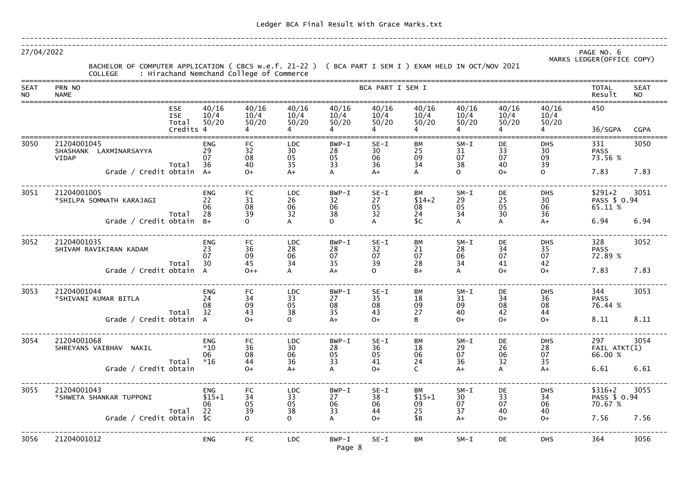| 27/04/2022         | BACHELOR OF COMPUTER APPLICATION ( CBCS w.e.f. 21-22 ) ( BCA PART I SEM I ) EXAM HELD IN OCT/NOV 2021<br>COLLEGE     : Hirachand Nemchand College of Commerce |                              |                        |                              |                           |                          |                        |                          |                        |                              | PAGE NO. 6<br>MARKS LEDGER (OFFICE COPY) |                          |
|--------------------|---------------------------------------------------------------------------------------------------------------------------------------------------------------|------------------------------|------------------------|------------------------------|---------------------------|--------------------------|------------------------|--------------------------|------------------------|------------------------------|------------------------------------------|--------------------------|
| <b>SEAT</b><br>NO. | PRN NO<br><b>NAME</b>                                                                                                                                         |                              |                        |                              |                           | BCA PART I SEM I         |                        |                          |                        |                              | <b>TOTAL</b><br>Result                   | <b>SEAT</b><br><b>NO</b> |
|                    | <b>ESE</b><br><b>ISE</b><br>Total<br>Credits 4                                                                                                                | 40/16<br>10/4<br>50/20       | 40/16<br>10/4<br>50/20 | 40/16<br>10/4<br>50/20       | 40/16<br>10/4<br>50/20    | 40/16<br>10/4<br>50/20   | 40/16<br>10/4<br>50/20 | 40/16<br>10/4<br>50/20   | 40/16<br>10/4<br>50/20 | 40/16<br>10/4<br>50/20       | 450<br>36/SGPA                           | <b>CGPA</b>              |
| 3050               | 21204001045<br>LAXMINARSAYYA<br><b>SHASHANK</b><br><b>VIDAP</b><br>Total                                                                                      | <b>ENG</b><br>29<br>07<br>36 | FC<br>32<br>08<br>40   | <b>LDC</b><br>30<br>05<br>35 | $BWP-T$<br>28<br>05<br>33 | $SE-I$<br>30<br>06<br>36 | ВM<br>25<br>09<br>34   | $SM-I$<br>31<br>07<br>38 | DE<br>33<br>07<br>40   | <b>DHS</b><br>30<br>09<br>39 | 331<br><b>PASS</b><br>73.56 %            | 3050                     |
|                    | Grade / Credit obtain A+                                                                                                                                      |                              | $O+$                   | $A+$                         | A                         | $A+$                     | A                      | $\Omega$                 | $O+$                   | $\overline{O}$               | 7.83                                     | 7.83                     |
| 3051               | 21204001005<br>*SHILPA SOMNATH KARAJAGI                                                                                                                       | <b>ENG</b><br>22<br>06<br>28 | <b>FC</b><br>31<br>08  | LDC<br>26<br>06<br>32        | $BWP-T$<br>32<br>06<br>38 | $SE-I$<br>27<br>05<br>32 | BM<br>$$14+2$<br>08    | $SM-I$<br>29<br>05<br>34 | DE<br>25<br>05<br>30   | <b>DHS</b><br>30<br>06<br>36 | $$291+2$<br>PASS \$ 0.94<br>65.11 %      | 3051                     |
|                    | Total<br>Grade / Credit obtain                                                                                                                                | $B+$                         | 39<br>$\Omega$         |                              | $\Omega$                  |                          | 24<br>\$C              | $\overline{A}$           | А                      | $A+$                         | 6.94                                     | 6.94                     |
| 3052               | 21204001035<br>SHIVAM RAVIKIRAN KADAM                                                                                                                         | <b>ENG</b><br>23<br>07       | <b>FC</b><br>36<br>09  | <b>LDC</b><br>28<br>06       | $BWP-T$<br>28<br>07       | $SE-I$<br>32<br>07       | BM<br>21<br>07         | $SM-I$<br>28<br>06       | DE<br>34<br>07         | <b>DHS</b><br>35<br>07       | 328<br><b>PASS</b><br>72.89 %            | 3052                     |
|                    | Total<br>Grade / Credit obtain A                                                                                                                              | 30                           | 45<br>$0++$            | 34<br>$\mathsf{A}$           | 35<br>$A+$                | 39<br>$\Omega$           | 28<br>$B+$             | 34<br>$\overline{A}$     | 41<br>$O+$             | 42<br>$O+$                   | 7.83                                     | 7.83                     |
| 3053               | 21204001044<br>*SHIVANI KUMAR BITLA                                                                                                                           | <b>ENG</b><br>24<br>08       | <b>FC</b><br>34<br>09  | <b>LDC</b><br>33<br>05       | $BWP-I$<br>27<br>08       | $SE - 1$<br>35<br>08     | ЫW<br>18<br>09         | $SM-I$<br>31<br>09       | DE<br>34<br>08         | <b>DHS</b><br>36<br>08       | 344<br><b>PASS</b><br>76.44 %            | 3053                     |
|                    | Total<br>Grade / Credit obtain A                                                                                                                              | 32                           | 43<br>$O+$             | 38<br>$\mathbf{O}$           | 35<br>$A+$                | 43<br>$O+$               | 27<br>В                | 40<br>$O+$               | 42<br>$O+$             | 44<br>$0+$                   | 8.11                                     | 8.11                     |
| 3054               | 21204001068<br>SHREYANS VAIBHAV NAKIL                                                                                                                         | ENG<br>$*10$<br>06           | FC<br>36<br>08         | <b>LDC</b><br>30<br>06       | $BWP-T$<br>28<br>05       | $SE-I$<br>36<br>05       | ВM<br>18<br>06         | $SM-I$<br>29<br>07       | DE<br>26<br>06         | <b>DHS</b><br>28<br>07       | 297<br>FAIL ATKT(1)<br>66.00 %           | 3054                     |
|                    | Total<br>Grade / Credit obtain                                                                                                                                | $*16$                        | 44<br>$O+$             | 36<br>$A+$                   | 33<br>A                   | 41<br>$O+$               | 24<br>$\mathsf{C}$     | 36<br>$A+$               | 32<br>A                | 35<br>$A+$                   | 6.61                                     | 6.61                     |
| 3055               | 21204001043<br>*SHWETA SHANKAR TUPPONI                                                                                                                        | ENG<br>$$15+1$<br>06         | FC<br>34<br>05         | <b>LDC</b><br>33<br>05       | $BWP-T$<br>27<br>06       | $SE-I$<br>38<br>06       | BM<br>$$15+1$<br>09    | $SM-I$<br>30<br>07       | DE<br>33<br>07         | <b>DHS</b><br>34<br>06       | $$316+2$<br>PASS \$ 0.94<br>70.67 %      | 3055                     |
|                    | Total<br>Grade / Credit obtain \$C                                                                                                                            | 22                           | 39<br>$\mathsf{O}$     | 38<br>$\mathbf{O}$           | 33<br>A                   | 44<br>$O+$               | 25<br>\$B              | 37<br>$A+$               | 40<br>$O+$             | 40<br>$0+$                   | 7.56                                     | 7.56                     |
| 3056               | 21204001012                                                                                                                                                   | <b>ENG</b>                   | <b>FC</b>              | <b>LDC</b>                   | $BWP-T$<br>Page 8         | $SE-I$                   | BM                     | $SM-I$                   | DE                     | <b>DHS</b>                   | 364                                      | 3056                     |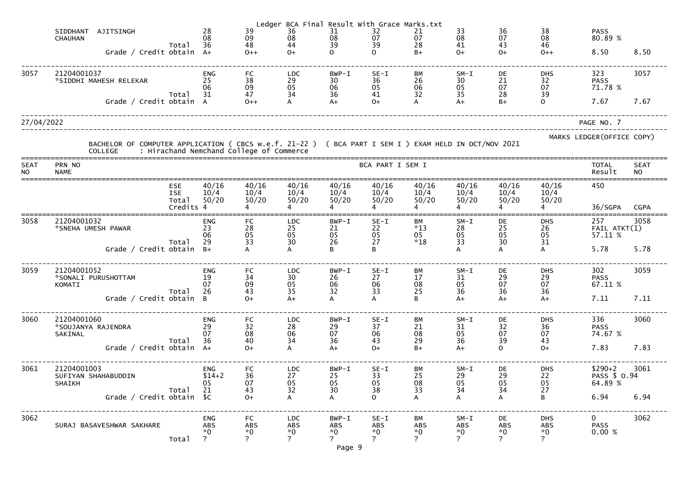|                    |                                                                                                                         |                                  |                    |                                               |                       | Ledger BCA Final Result With Grace Marks.txt  |                                               |                                         |                    |                                               |                                   |                            |                          |
|--------------------|-------------------------------------------------------------------------------------------------------------------------|----------------------------------|--------------------|-----------------------------------------------|-----------------------|-----------------------------------------------|-----------------------------------------------|-----------------------------------------|--------------------|-----------------------------------------------|-----------------------------------|----------------------------|--------------------------|
|                    | <b>SIDDHANT</b><br>AJITSINGH<br><b>CHAUHAN</b>                                                                          |                                  | $\mathop{28}_{08}$ | 39<br>$\begin{array}{c} 09 \\ 48 \end{array}$ | 36<br>$\frac{08}{44}$ | 31<br>08                                      | $\begin{array}{c} 32 \\ 07 \end{array}$       | 21<br>07                                | 33<br>08           | 36<br>07                                      | 38<br>08<br>46                    | <b>PASS</b><br>80.89 %     |                          |
|                    | Grade / Credit obtain                                                                                                   | Total                            | 36<br>$A+$         | $O++$                                         | $O+$                  | 39<br>$\Omega$                                | 39<br>$\Omega$                                | 28<br>$B+$                              | 41<br>$O+$         | 43<br>$O+$                                    | $0++$                             | 8.50                       | 8.50                     |
|                    |                                                                                                                         |                                  |                    |                                               |                       |                                               |                                               |                                         |                    |                                               |                                   |                            |                          |
| 3057               | 21204001037<br>*SIDDHI MAHESH RELEKAR                                                                                   |                                  | <b>ENG</b><br>25   | FC                                            | <b>LDC</b>            | BWP-I<br>30                                   | $SE-I$<br>36                                  | ВM<br>26                                | $SM-L$<br>30       | DE                                            | <b>DHS</b>                        | 323<br><b>PASS</b>         | 3057                     |
|                    |                                                                                                                         | Total                            | 06<br>31           | $\frac{38}{09}$<br>47                         | 29<br>05<br>34        | 06<br>36                                      | $05$<br>41                                    | 06<br>32                                | 05<br>35           | $\begin{array}{c} 21 \\ 07 \end{array}$<br>28 | $\frac{32}{07}$<br>$\frac{39}{0}$ | 71.78 %                    |                          |
|                    | Grade / Credit obtain                                                                                                   |                                  |                    | $O++$                                         | A                     | $A+$                                          | $O+$                                          | $\mathsf{A}$                            | $A+$               | $B+$                                          |                                   | 7.67                       | 7.67                     |
| 27/04/2022         |                                                                                                                         |                                  |                    |                                               |                       |                                               |                                               |                                         |                    |                                               |                                   | PAGE NO. 7                 |                          |
|                    | BACHELOR OF COMPUTER APPLICATION ( CBCS w.e.f. 21-22 ) ( BCA PART I SEM I ) EXAM HELD IN OCT/NOV 2021<br><b>COLLEGE</b> |                                  |                    | : Hirachand Nemchand College of Commerce      |                       |                                               |                                               |                                         |                    |                                               |                                   | MARKS LEDGER (OFFICE COPY) |                          |
| <b>SEAT</b><br>NO. | PRN NO<br><b>NAME</b>                                                                                                   |                                  |                    |                                               |                       |                                               | BCA PART I SEM I                              |                                         |                    |                                               |                                   | <b>TOTAL</b><br>Result     | <b>SEAT</b><br><b>NO</b> |
|                    |                                                                                                                         | <b>ESE</b>                       | 40/16              | 40/16                                         | 40/16                 | 40/16                                         | 40/16                                         | 40/16                                   | 40/16              | 40/16                                         | 40/16                             | 450                        |                          |
|                    |                                                                                                                         | <b>ISE</b><br>Total<br>Credits 4 | 10/4<br>50/20      | 10/4<br>50/20                                 | 10/4<br>50/20         | 10/4<br>50/20                                 | 10/4<br>50/20                                 | 10/4<br>50/20                           | 10/4<br>50/20      | 10/4<br>50/20                                 | 10/4<br>50/20                     | 36/SGPA                    | <b>CGPA</b>              |
| 3058               | 21204001032                                                                                                             |                                  | <b>ENG</b>         | FC                                            | <b>LDC</b>            | $BWP - I$                                     | $SE-I$                                        | ВM                                      | $SM-I$             | DE                                            | <b>DHS</b>                        | 257                        | 3058                     |
|                    | *SNEHA UMESH PAWAR                                                                                                      |                                  | 23<br>06           | 28<br>05                                      | $\frac{25}{05}$       | 21<br>05                                      | 22                                            | $*13$                                   | 28<br>05           | $\begin{array}{c} 25 \\ 05 \end{array}$       | 26<br>05<br>31                    | FAIL ATKT(1)<br>57.11 %    |                          |
|                    |                                                                                                                         | Total                            | 29                 | 33                                            | 30                    | 26                                            | $\begin{array}{c} 05 \\ 27 \end{array}$       | 05<br>$*18$                             | 33                 | 30                                            |                                   |                            |                          |
|                    | Grade / Credit obtain B+                                                                                                |                                  |                    | A                                             | A                     | B                                             | R.                                            |                                         | A                  | A                                             | A                                 | 5.78                       | 5.78                     |
| 3059               | 21204001052                                                                                                             |                                  | <b>ENG</b>         | FC                                            | <b>LDC</b>            | $BWP - I$                                     | $SE-I$                                        | <b>BM</b>                               | $SM-I$             | DE                                            | <b>DHS</b>                        | 302                        | 3059                     |
|                    | *SONALI PURUSHOTTAM<br>KOMATI                                                                                           |                                  | 19<br>07           | 34<br>09                                      | 30<br>05              | 26<br>06                                      | 27<br>06                                      | 17<br>08                                | 31<br>05           | 29<br>07                                      | 29<br>07                          | <b>PASS</b><br>67.11 %     |                          |
|                    | Grade / Credit obtain B                                                                                                 | Total                            | 26                 | 43<br>$0+$                                    | 35<br>$A+$            | $\overline{32}$<br>A                          | $\overline{33}$                               | 25<br>B.                                | 36<br>$A+$         | 36<br>$A+$                                    | 36<br>$A+$                        | 7.11                       | 7.11                     |
|                    |                                                                                                                         |                                  |                    |                                               |                       |                                               |                                               |                                         |                    |                                               |                                   |                            |                          |
| 3060               | 21204001060<br>*SOUJANYA RAJENDRA                                                                                       |                                  | <b>ENG</b><br>29   | FC<br>$\begin{array}{c} 32 \\ 08 \end{array}$ | <b>LDC</b>            | $BWP-I$<br>29                                 | $SE-I$<br>37                                  | ВM<br>21                                | $SM-I$<br>31       | DE<br>32                                      | <b>DHS</b>                        | 336<br><b>PASS</b>         | 3060                     |
|                    | SAKINAL                                                                                                                 | Total                            | 07<br>36           | 40                                            | 28<br>06<br>34        | 07<br>36                                      | 06<br>43                                      | $\begin{array}{c} 08 \\ 29 \end{array}$ | $\frac{05}{36}$    | $\frac{07}{39}$                               | $\frac{36}{07}$<br>43             | 74.67 %                    |                          |
|                    | Grade / Credit obtain A+                                                                                                |                                  |                    | $O+$                                          |                       | $A+$                                          | $O+$                                          | $B+$                                    | $A+$               | $\Omega$                                      | $O+$                              | 7.83                       | 7.83                     |
| 3061               | 21204001003                                                                                                             |                                  | ENG                | FC                                            | <b>LDC</b>            | BWP-I                                         | $SE-I$                                        | ВM                                      | $SM-I$             | DE                                            | <b>DHS</b>                        | $$290+2$                   | 3061                     |
|                    | SUFIYAN SHAHABUDDIN<br><b>SHAIKH</b>                                                                                    |                                  | $$14+2$<br>05      | 36<br>07                                      | 27<br>05<br>32        | 25<br>$\begin{array}{c} 05 \\ 30 \end{array}$ | 33<br>$\begin{array}{c} 05 \\ 38 \end{array}$ | 25<br>08<br>33                          | 29<br>05<br>34     | $\begin{array}{c} 29 \\ 05 \end{array}$       | 22<br>05<br>27                    | PASS \$ 0.94<br>64.89 %    |                          |
|                    | Grade / Credit obtain \$C                                                                                               | Total                            | 21                 | 43<br>$O+$                                    |                       | A                                             | $\Omega$                                      |                                         | A                  | 34<br>A                                       | $\mathsf{B}$                      | 6.94                       | 6.94                     |
| 3062               |                                                                                                                         |                                  | <b>ENG</b>         | FC                                            | <b>LDC</b>            | $BWP-T$                                       | $SE-I$                                        | BM                                      | $SM-I$             | DE                                            | <b>DHS</b>                        | $\mathbf{0}$               | 3062                     |
|                    | SURAJ BASAVESHWAR SAKHARE                                                                                               |                                  | <b>ABS</b><br>$*0$ | ABS<br>*0                                     | <b>ABS</b><br>$*0$    | <b>ABS</b><br>$*0$                            | <b>ABS</b><br>$*0$                            | <b>ABS</b><br>$*0$                      | <b>ABS</b><br>$*0$ | <b>ABS</b><br>$*0$                            | ABS<br>$*0$                       | <b>PASS</b><br>0.00%       |                          |
|                    |                                                                                                                         | Total                            | $\overline{?}$     | $\overline{?}$                                | $\mathcal{P}$         | $\mathbf{P}$<br>Page 9                        | $\overline{z}$                                | $\mathcal{P}$                           | $\overline{P}$     | $\overline{?}$                                | $\overline{?}$                    |                            |                          |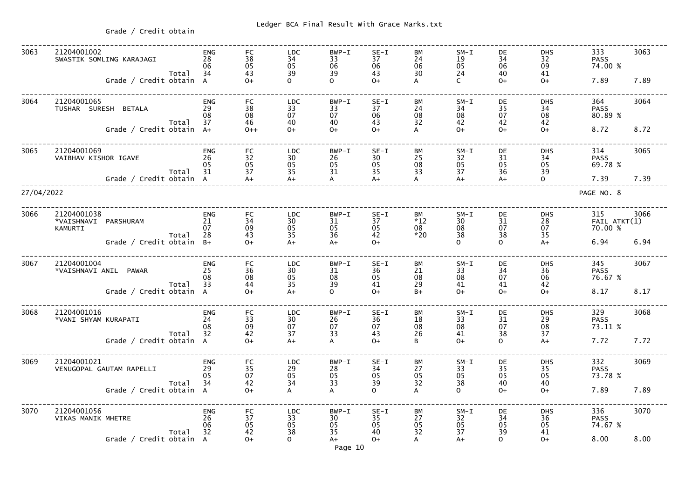Ledger BCA Final Result With Grace Marks.txt

Grade / Credit obtain

| 3063       | 21204001002<br>SWASTIK SOMLING KARAJAGI<br>Total | <b>ENG</b><br>28<br>06<br>34 | FC<br>38<br>05<br>43                                | <b>LDC</b><br>34<br>05<br>39                          | $BWP - I$<br>33<br>06<br>39 | $SE-I$<br>37<br>06<br>43 | BM<br>24<br>06<br>30       | $SM-I$<br>19<br>05<br>24                                | DE<br>34<br>06<br>40 | <b>DHS</b><br>32<br>09<br>41        | 333<br><b>PASS</b><br>74.00 %  | 3063 |
|------------|--------------------------------------------------|------------------------------|-----------------------------------------------------|-------------------------------------------------------|-----------------------------|--------------------------|----------------------------|---------------------------------------------------------|----------------------|-------------------------------------|--------------------------------|------|
|            | Grade / Credit obtain                            | $\overline{A}$               | $O+$                                                | $\Omega$                                              | $\Omega$                    | $O+$                     |                            | $\mathsf{C}$                                            | $O+$                 | $O+$                                | 7.89                           | 7.89 |
| 3064       | 21204001065<br>TUSHAR SURESH BETALA<br>Total     | <b>ENG</b><br>29<br>08<br>37 | FC<br>38<br>08<br>46                                | <b>LDC</b><br>33<br>07<br>40                          | $BWP - I$<br>33<br>07<br>40 | $SE-I$<br>37<br>06<br>43 | BM<br>24<br>08<br>32       | $SM-L$<br>34<br>08<br>42                                | DE<br>35<br>07<br>42 | <b>DHS</b><br>34<br>$08$<br>42      | 364<br><b>PASS</b><br>80.89 %  | 3064 |
|            | Grade / Credit obtain                            | $A+$                         | $0++$                                               | $O+$                                                  | $O+$                        | $O+$                     | A                          | $O+$                                                    | $O+$                 | $0+$                                | 8.72                           | 8.72 |
| 3065       | 21204001069<br>VAIBHAV KISHOR IGAVE              | <b>ENG</b><br>26<br>05       | FC<br>32<br>05                                      | <b>LDC</b><br>30<br>05                                | $BWP - I$<br>26<br>05       | $SE-I$<br>30<br>05       | BM<br>25<br>08             | $SM-L$<br>32<br>05                                      | DE<br>31<br>05       | <b>DHS</b><br>34<br>05              | 314<br><b>PASS</b><br>69.78 %  | 3065 |
|            | Total<br>Grade / Credit obtain A                 | 31                           | 37<br>$A+$                                          | 35<br>$A+$                                            | 31<br>$\mathsf{A}$          | 35<br>$A+$               | 33                         | 37<br>$A+$                                              | 36<br>$A+$           | 39<br>$\overline{O}$                | 7.39                           | 7.39 |
| 27/04/2022 |                                                  |                              |                                                     |                                                       |                             |                          |                            |                                                         |                      |                                     | PAGE NO. 8                     |      |
| 3066       | 21204001038<br>*VAISHNAVI PARSHURAM<br>KAMURTI   | <b>ENG</b><br>21<br>07<br>28 | <b>FC</b><br>34<br>09<br>43                         | <b>LDC</b><br>30<br>05<br>35                          | $BWP-T$<br>31<br>05<br>36   | $SE-I$<br>37<br>05<br>42 | BM<br>$*12$<br>08<br>$*20$ | $SM-L$<br>30 <sup>°</sup><br>08<br>38                   | DE<br>31<br>07<br>38 | <b>DHS</b><br>$\frac{28}{07}$<br>35 | 315<br>FAIL ATKT(1)<br>70.00 % | 3066 |
|            | Total<br>Grade / Credit obtain                   | $B+$                         | $O+$                                                | $A+$                                                  | $A+$                        | $O+$                     |                            | $\Omega$                                                | $\Omega$             | $A+$                                | 6.94                           | 6.94 |
| 3067       | 21204001004<br>*VAISHNAVI ANIL PAWAR             | <b>ENG</b><br>25<br>08       | FC<br>36<br>08                                      | <b>LDC</b><br>30<br>05                                | $BWP - I$<br>31<br>08       | $SE-I$<br>36<br>05       | BМ<br>21<br>08             | $SM-I$<br>33<br>08                                      | DE<br>34<br>07       | <b>DHS</b><br>36<br>06              | 345<br><b>PASS</b><br>76.67 %  | 3067 |
|            | Total<br>Grade / Credit obtain                   | 33<br>$\mathsf{A}$           | 44<br>$O+$                                          | 35<br>$A+$                                            | 39<br>$\Omega$              | 41<br>$O+$               | 29<br>$B+$                 | 41<br>$O+$                                              | 41<br>$O+$           | 42<br>$O+$                          | 8.17                           | 8.17 |
| 3068       | 21204001016<br>*VANI SHYAM KURAPATI              | <b>ENG</b><br>24<br>08<br>32 | FC<br>33<br>$\frac{09}{42}$                         | <b>LDC</b><br>30<br>07<br>37                          | BWP-I<br>26<br>07           | $SE-I$<br>36<br>07<br>43 | ВM<br>18<br>08<br>26       | $SM-L$<br>33<br>08<br>41                                | DE<br>31<br>07       | <b>DHS</b><br>29<br>08<br>37        | 329<br><b>PASS</b><br>73.11 %  | 3068 |
|            | Total<br>Grade / Credit obtain A                 |                              | $O+$                                                | $A+$                                                  | 33<br>A                     | $O+$                     | B                          | $O+$                                                    | 38<br>$\mathbf{O}$   | $A+$                                | 7.72                           | 7.72 |
| 3069       | 21204001021<br>VENUGOPAL GAUTAM RAPELLI          | <b>ENG</b><br>29<br>05       | FC<br>$\begin{array}{c} 35 \\ 07 \\ 42 \end{array}$ | <b>LDC</b><br>$\begin{array}{c} 29 \\ 05 \end{array}$ | BWP-I<br>28<br>05<br>33     | $SE-I$<br>34<br>05       | ВM<br>27<br>05<br>32       | $SM-I$<br>33<br>$\begin{array}{c} 05 \\ 38 \end{array}$ | DE<br>$35\,$<br>05   | <b>DHS</b><br>35<br>05              | 332<br><b>PASS</b><br>73.78 %  | 3069 |
|            | Total<br>Grade / Credit obtain A                 | 34                           | $O+$                                                | $\overline{34}$<br>A                                  | $\overline{A}$              | 39<br>$\Omega$           | A                          | $\Omega$                                                | 40<br>$0+$           | 40<br>$O+$                          | 7.89                           | 7.89 |
| 3070       | 21204001056<br>VIKAS MANIK MHETRE                | <b>ENG</b><br>26<br>06       | FC<br>37<br>05<br>42                                | <b>LDC</b><br>$\begin{array}{c} 33 \\ 05 \end{array}$ | BWP-I<br>30<br>05           | $SE-I$<br>35<br>05       | ВM<br>27<br>05             | $SM-L$<br>32<br>05                                      | DE<br>34<br>05       | <b>DHS</b><br>36<br>05              | 336<br><b>PASS</b><br>74.67 %  | 3070 |
|            | Total<br>Grade / Credit obtain A                 | 32                           | $O+$                                                | 38<br>$\Omega$                                        | 35<br>$A+$<br>Page 10       | 40<br>$O+$               | 32<br>A                    | 37<br>$A+$                                              | 39<br>$\mathbf{O}$   | 41<br>$O+$                          | 8.00                           | 8.00 |